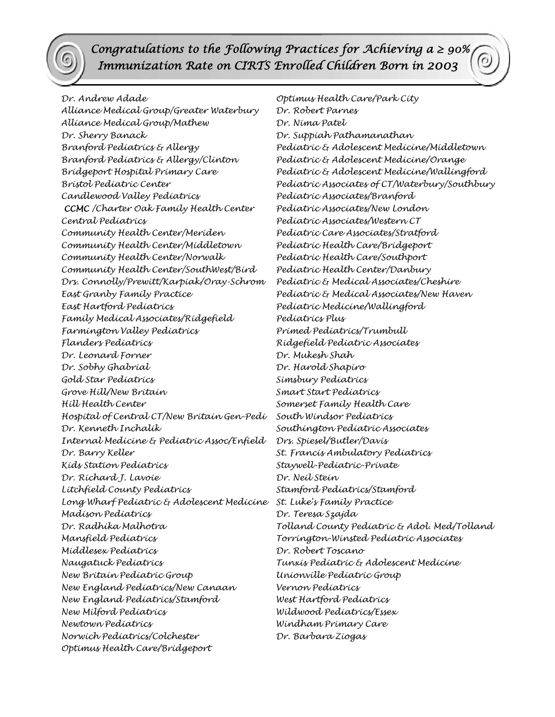*Congratulations to the Following Practices for Achieving a ≥ 90% Immunization Rate on CIRTS Enrolled Children Born in 2003*

*Alliance Medical Group/Greater Waterbury Dr. Robert Parnes Alliance Medical Group/Mathew Dr. Nima Patel Dr. Sherry Banack Dr. Suppiah Pathamanathan Branford Pediatrics & Allergy/Clinton Pediatric & Adolescent Medicine/Orange Candlewood Valley Pediatrics Pediatric Associates/Branford CCMC /Charter Oak Family Health Center Pediatric Associates/New London Central Pediatrics Pediatric Associates/Western CT Community Health Center/Meriden Pediatric Care Associates/Stratford Community Health Center/Middletown Pediatric Health Care/Bridgeport Community Health Center/Norwalk Pediatric Health Care/Southport Community Health Center/SouthWest/Bird Pediatric Health Center/Danbury Drs. Connolly/Prewitt/Karpiak/Oray-Schrom Pediatric & Medical Associates/Cheshire East Granby Family Practice Pediatric & Medical Associates/New Haven East Hartford Pediatrics Pediatric Medicine/Wallingford Family Medical Associates/Ridgefield Pediatrics Plus Farmington Valley Pediatrics Primed Pediatrics/Trumbull Flanders Pediatrics Ridgefield Pediatric Associates Dr. Leonard Forner Dr. Mukesh Shah Dr. Sobhy Ghabrial Dr. Harold Shapiro Gold Star Pediatrics Simsbury Pediatrics Grove Hill/New Britain Smart Start Pediatrics Hill Health Center Somerset Family Health Care Hospital of Central CT/New Britain Gen-Pedi South Windsor Pediatrics Dr. Kenneth Inchalik Southington Pediatric Associates Internal Medicine & Pediatric Assoc/Enfield Drs. Spiesel/Butler/Davis Dr. Barry Keller St. Francis Ambulatory Pediatrics Kids Station Pediatrics Staywell-Pediatric-Private Dr. Richard J. Lavoie Dr. Neil Stein Litchfield County Pediatrics Stamford Pediatrics/Stamford Long Wharf Pediatric & Adolescent Medicine St. Luke's Family Practice Madison Pediatrics Dr. Teresa Szajda Mansfield Pediatrics Torrington-Winsted Pediatric Associates Middlesex Pediatrics Dr. Robert Toscano Naugatuck Pediatrics Tunxis Pediatric & Adolescent Medicine New Britain Pediatric Group Unionville Pediatric Group New England Pediatrics/New Canaan Vernon Pediatrics New England Pediatrics/Stamford West Hartford Pediatrics New Milford Pediatrics Wildwood Pediatrics/Essex Newtown Pediatrics Windham Primary Care Norwich Pediatrics/Colchester Dr. Barbara Ziogas Optimus Health Care/Bridgeport* 

*Dr. Andrew Adade Optimus Health Care/Park City Branford Pediatrics & Allergy Pediatric & Adolescent Medicine/Middletown Bridgeport Hospital Primary Care Pediatric & Adolescent Medicine/Wallingford Bristol Pediatric Center Pediatric Associates of CT/Waterbury/Southbury Dr. Radhika Malhotra Tolland County Pediatric & Adol. Med/Tolland*